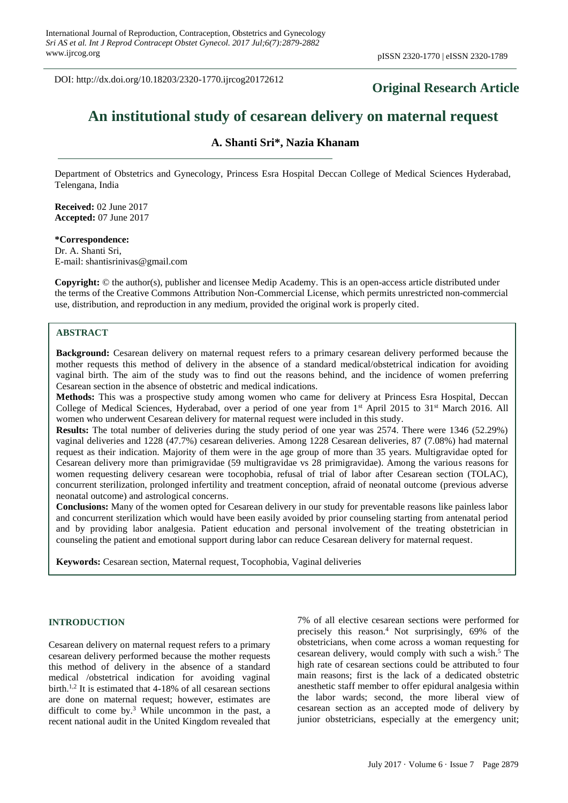DOI: http://dx.doi.org/10.18203/2320-1770.ijrcog20172612

## **Original Research Article**

# **An institutional study of cesarean delivery on maternal request**

## **A. Shanti Sri\*, Nazia Khanam**

Department of Obstetrics and Gynecology, Princess Esra Hospital Deccan College of Medical Sciences Hyderabad, Telengana, India

**Received:** 02 June 2017 **Accepted:** 07 June 2017

**\*Correspondence:** Dr. A. Shanti Sri, E-mail: shantisrinivas@gmail.com

**Copyright:** © the author(s), publisher and licensee Medip Academy. This is an open-access article distributed under the terms of the Creative Commons Attribution Non-Commercial License, which permits unrestricted non-commercial use, distribution, and reproduction in any medium, provided the original work is properly cited.

#### **ABSTRACT**

**Background:** Cesarean delivery on maternal request refers to a primary cesarean delivery performed because the mother requests this method of delivery in the absence of a standard medical/obstetrical indication for avoiding vaginal birth. The aim of the study was to find out the reasons behind, and the incidence of women preferring Cesarean section in the absence of obstetric and medical indications.

**Methods:** This was a prospective study among women who came for delivery at Princess Esra Hospital, Deccan College of Medical Sciences, Hyderabad, over a period of one year from 1<sup>st</sup> April 2015 to 31<sup>st</sup> March 2016. All women who underwent Cesarean delivery for maternal request were included in this study.

**Results:** The total number of deliveries during the study period of one year was 2574. There were 1346 (52.29%) vaginal deliveries and 1228 (47.7%) cesarean deliveries. Among 1228 Cesarean deliveries, 87 (7.08%) had maternal request as their indication. Majority of them were in the age group of more than 35 years. Multigravidae opted for Cesarean delivery more than primigravidae (59 multigravidae vs 28 primigravidae). Among the various reasons for women requesting delivery cesarean were tocophobia, refusal of trial of labor after Cesarean section (TOLAC), concurrent sterilization, prolonged infertility and treatment conception, afraid of neonatal outcome (previous adverse neonatal outcome) and astrological concerns.

**Conclusions:** Many of the women opted for Cesarean delivery in our study for preventable reasons like painless labor and concurrent sterilization which would have been easily avoided by prior counseling starting from antenatal period and by providing labor analgesia. Patient education and personal involvement of the treating obstetrician in counseling the patient and emotional support during labor can reduce Cesarean delivery for maternal request.

**Keywords:** Cesarean section, Maternal request, Tocophobia, Vaginal deliveries

#### **INTRODUCTION**

Cesarean delivery on maternal request refers to a primary cesarean delivery performed because the mother requests this method of delivery in the absence of a standard medical /obstetrical indication for avoiding vaginal birth.<sup>1,2</sup> It is estimated that 4-18% of all cesarean sections are done on maternal request; however, estimates are difficult to come by.<sup>3</sup> While uncommon in the past, a recent national audit in the United Kingdom revealed that 7% of all elective cesarean sections were performed for precisely this reason.<sup>4</sup> Not surprisingly, 69% of the obstetricians, when come across a woman requesting for cesarean delivery, would comply with such a wish. <sup>5</sup> The high rate of cesarean sections could be attributed to four main reasons; first is the lack of a dedicated obstetric anesthetic staff member to offer epidural analgesia within the labor wards; second, the more liberal view of cesarean section as an accepted mode of delivery by junior obstetricians, especially at the emergency unit;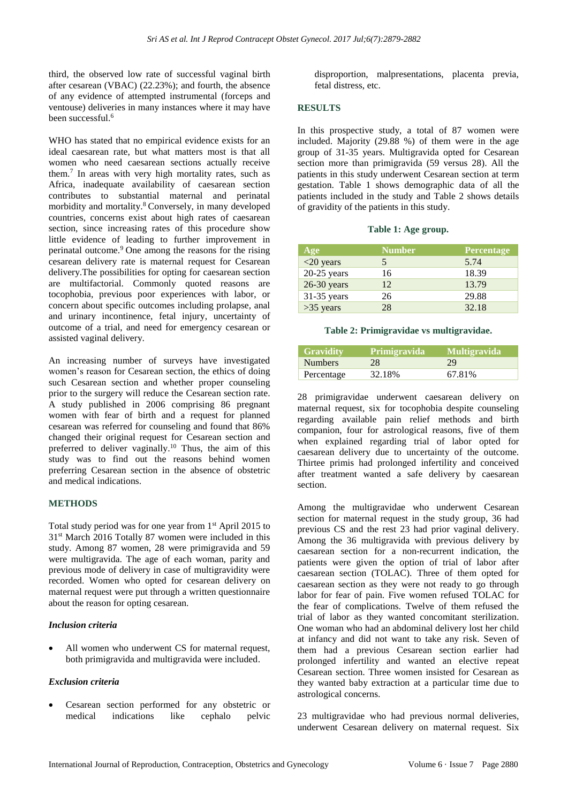third, the observed low rate of successful vaginal birth after cesarean (VBAC) (22.23%); and fourth, the absence of any evidence of attempted instrumental (forceps and ventouse) deliveries in many instances where it may have been successful.<sup>6</sup>

WHO has stated that no empirical evidence exists for an ideal caesarean rate, but what matters most is that all women who need caesarean sections actually receive them. 7 In areas with very high mortality rates, such as Africa, inadequate availability of caesarean section contributes to substantial maternal and perinatal morbidity and mortality.<sup>8</sup> Conversely, in many developed countries, concerns exist about high rates of caesarean section, since increasing rates of this procedure show little evidence of leading to further improvement in perinatal outcome.<sup>9</sup> One among the reasons for the rising cesarean delivery rate is maternal request for Cesarean delivery.The possibilities for opting for caesarean section are multifactorial. Commonly quoted reasons are tocophobia, previous poor experiences with labor, or concern about specific outcomes including prolapse, anal and urinary incontinence, fetal injury, uncertainty of outcome of a trial, and need for emergency cesarean or assisted vaginal delivery.

An increasing number of surveys have investigated women's reason for Cesarean section, the ethics of doing such Cesarean section and whether proper counseling prior to the surgery will reduce the Cesarean section rate. A study published in 2006 comprising 86 pregnant women with fear of birth and a request for planned cesarean was referred for counseling and found that 86% changed their original request for Cesarean section and preferred to deliver vaginally.<sup>10</sup> Thus, the aim of this study was to find out the reasons behind women preferring Cesarean section in the absence of obstetric and medical indications.

## **METHODS**

Total study period was for one year from 1st April 2015 to 31st March 2016 Totally 87 women were included in this study. Among 87 women, 28 were primigravida and 59 were multigravida. The age of each woman, parity and previous mode of delivery in case of multigravidity were recorded. Women who opted for cesarean delivery on maternal request were put through a written questionnaire about the reason for opting cesarean.

#### *Inclusion criteria*

• All women who underwent CS for maternal request, both primigravida and multigravida were included.

#### *Exclusion criteria*

• Cesarean section performed for any obstetric or medical indications like cephalo pelvic disproportion, malpresentations, placenta previa, fetal distress, etc.

#### **RESULTS**

In this prospective study, a total of 87 women were included. Majority (29.88 %) of them were in the age group of 31-35 years. Multigravida opted for Cesarean section more than primigravida (59 versus 28). All the patients in this study underwent Cesarean section at term gestation. Table 1 shows demographic data of all the patients included in the study and Table 2 shows details of gravidity of the patients in this study.

#### **Table 1: Age group.**

| Age           | <b>Number</b> | <b>Percentage</b> |
|---------------|---------------|-------------------|
| $<$ 20 years  |               | 5.74              |
| $20-25$ years | 16            | 18.39             |
| $26-30$ years | 12            | 13.79             |
| 31-35 years   | 26            | 29.88             |
| $>35$ years   | 28            | 32.18             |

#### **Table 2: Primigravidae vs multigravidae.**

| <b>Gravidity</b> | <b>Primigravida</b> | <b>Multigravida</b> |
|------------------|---------------------|---------------------|
| <b>Numbers</b>   | 28                  | 29                  |
| Percentage       | 32.18%              | 67.81%              |

28 primigravidae underwent caesarean delivery on maternal request, six for tocophobia despite counseling regarding available pain relief methods and birth companion, four for astrological reasons, five of them when explained regarding trial of labor opted for caesarean delivery due to uncertainty of the outcome. Thirtee primis had prolonged infertility and conceived after treatment wanted a safe delivery by caesarean section.

Among the multigravidae who underwent Cesarean section for maternal request in the study group, 36 had previous CS and the rest 23 had prior vaginal delivery. Among the 36 multigravida with previous delivery by caesarean section for a non-recurrent indication, the patients were given the option of trial of labor after caesarean section (TOLAC). Three of them opted for caesarean section as they were not ready to go through labor for fear of pain. Five women refused TOLAC for the fear of complications. Twelve of them refused the trial of labor as they wanted concomitant sterilization. One woman who had an abdominal delivery lost her child at infancy and did not want to take any risk. Seven of them had a previous Cesarean section earlier had prolonged infertility and wanted an elective repeat Cesarean section. Three women insisted for Cesarean as they wanted baby extraction at a particular time due to astrological concerns.

23 multigravidae who had previous normal deliveries, underwent Cesarean delivery on maternal request. Six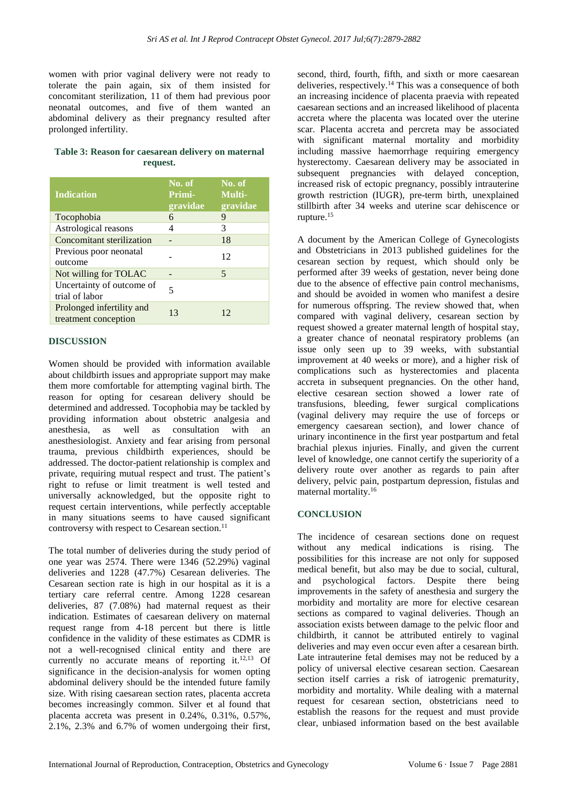women with prior vaginal delivery were not ready to tolerate the pain again, six of them insisted for concomitant sterilization, 11 of them had previous poor neonatal outcomes, and five of them wanted an abdominal delivery as their pregnancy resulted after prolonged infertility.

## **Table 3: Reason for caesarean delivery on maternal request.**

| <b>Indication</b>                                 | No. of<br>Primi-<br>gravidae | No. of<br>Multi-<br>gravidae |
|---------------------------------------------------|------------------------------|------------------------------|
| Tocophobia                                        | 6                            | 9                            |
| Astrological reasons                              | 4                            | 3                            |
| Concomitant sterilization                         |                              | 18                           |
| Previous poor neonatal<br>outcome                 |                              | 12                           |
| Not willing for TOLAC                             |                              | 5                            |
| Uncertainty of outcome of<br>trial of labor       | 5                            |                              |
| Prolonged infertility and<br>treatment conception | 13                           | 12                           |

## **DISCUSSION**

Women should be provided with information available about childbirth issues and appropriate support may make them more comfortable for attempting vaginal birth. The reason for opting for cesarean delivery should be determined and addressed. Tocophobia may be tackled by providing information about obstetric analgesia and anesthesia, as well as consultation with an anesthesiologist. Anxiety and fear arising from personal trauma, previous childbirth experiences, should be addressed. The doctor-patient relationship is complex and private, requiring mutual respect and trust. The patient's right to refuse or limit treatment is well tested and universally acknowledged, but the opposite right to request certain interventions, while perfectly acceptable in many situations seems to have caused significant controversy with respect to Cesarean section. 11

The total number of deliveries during the study period of one year was 2574. There were 1346 (52.29%) vaginal deliveries and 1228 (47.7%) Cesarean deliveries. The Cesarean section rate is high in our hospital as it is a tertiary care referral centre. Among 1228 cesarean deliveries, 87 (7.08%) had maternal request as their indication. Estimates of caesarean delivery on maternal request range from 4-18 percent but there is little confidence in the validity of these estimates as CDMR is not a well-recognised clinical entity and there are currently no accurate means of reporting it. $12,13$  Of significance in the decision-analysis for women opting abdominal delivery should be the intended future family size. With rising caesarean section rates, placenta accreta becomes increasingly common. Silver et al found that placenta accreta was present in 0.24%, 0.31%, 0.57%, 2.1%, 2.3% and 6.7% of women undergoing their first, second, third, fourth, fifth, and sixth or more caesarean deliveries, respectively.<sup>14</sup> This was a consequence of both an increasing incidence of placenta praevia with repeated caesarean sections and an increased likelihood of placenta accreta where the placenta was located over the uterine scar. Placenta accreta and percreta may be associated with significant maternal mortality and morbidity including massive haemorrhage requiring emergency hysterectomy. Caesarean delivery may be associated in subsequent pregnancies with delayed conception, increased risk of ectopic pregnancy, possibly intrauterine growth restriction (IUGR), pre-term birth, unexplained stillbirth after 34 weeks and uterine scar dehiscence or rupture. 15

A document by the American College of Gynecologists and Obstetricians in 2013 published guidelines for the cesarean section by request, which should only be performed after 39 weeks of gestation, never being done due to the absence of effective pain control mechanisms, and should be avoided in women who manifest a desire for numerous offspring. The review showed that, when compared with vaginal delivery, cesarean section by request showed a greater maternal length of hospital stay, a greater chance of neonatal respiratory problems (an issue only seen up to 39 weeks, with substantial improvement at 40 weeks or more), and a higher risk of complications such as hysterectomies and placenta accreta in subsequent pregnancies. On the other hand, elective cesarean section showed a lower rate of transfusions, bleeding, fewer surgical complications (vaginal delivery may require the use of forceps or emergency caesarean section), and lower chance of urinary incontinence in the first year postpartum and fetal brachial plexus injuries. Finally, and given the current level of knowledge, one cannot certify the superiority of a delivery route over another as regards to pain after delivery, pelvic pain, postpartum depression, fistulas and maternal mortality. 16

## **CONCLUSION**

The incidence of cesarean sections done on request without any medical indications is rising. The possibilities for this increase are not only for supposed medical benefit, but also may be due to social, cultural, and psychological factors. Despite there being improvements in the safety of anesthesia and surgery the morbidity and mortality are more for elective cesarean sections as compared to vaginal deliveries. Though an association exists between damage to the pelvic floor and childbirth, it cannot be attributed entirely to vaginal deliveries and may even occur even after a cesarean birth. Late intrauterine fetal demises may not be reduced by a policy of universal elective cesarean section. Caesarean section itself carries a risk of iatrogenic prematurity, morbidity and mortality. While dealing with a maternal request for cesarean section, obstetricians need to establish the reasons for the request and must provide clear, unbiased information based on the best available